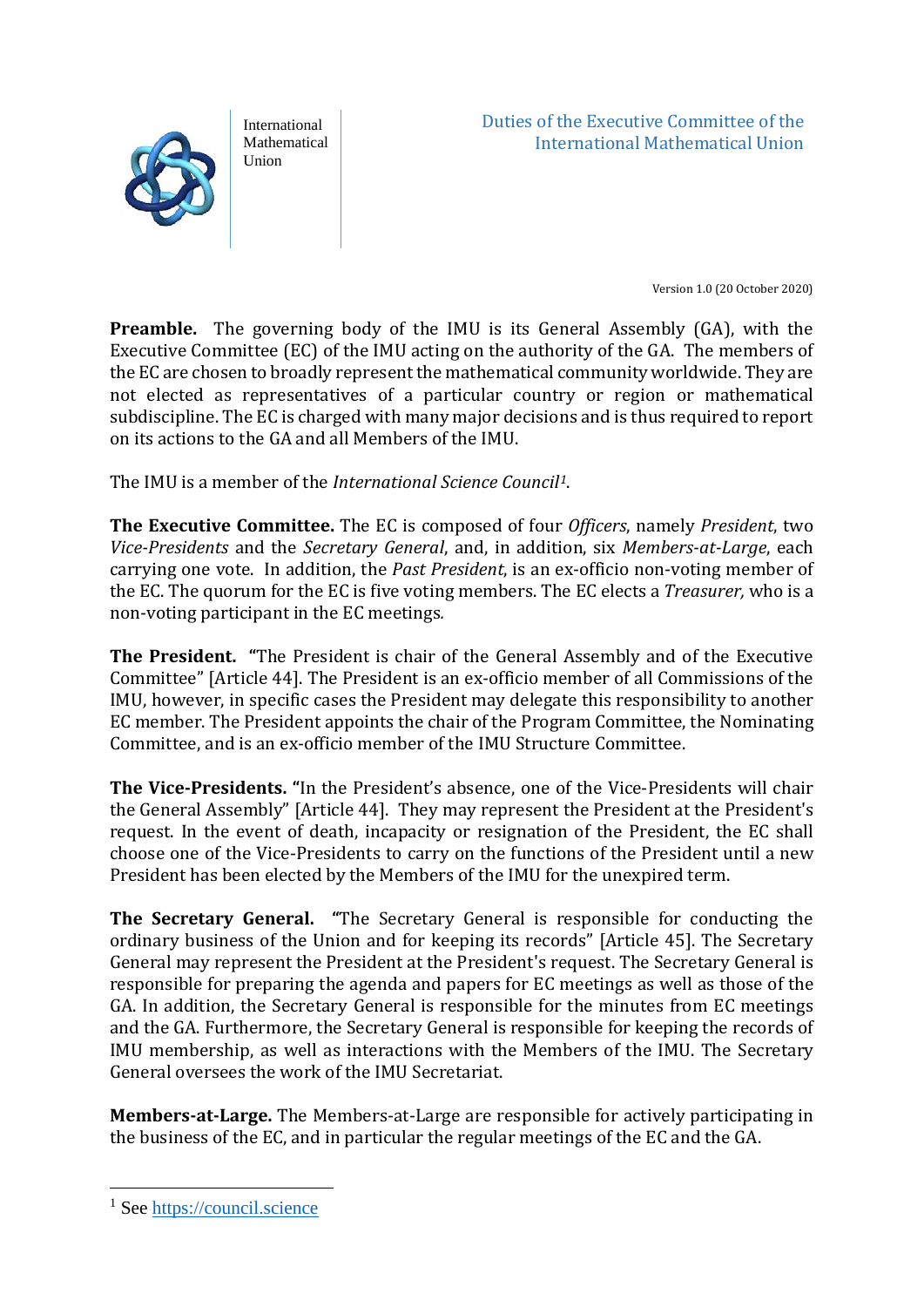

International Mathematical Union

Duties of the Executive Committee of the International Mathematical Union

Version 1.0 (20 October 2020)

**Preamble.** The governing body of the IMU is its General Assembly (GA), with the Executive Committee (EC) of the IMU acting on the authority of the GA. The members of the EC are chosen to broadly represent the mathematical community worldwide. They are not elected as representatives of a particular country or region or mathematical subdiscipline. The EC is charged with many major decisions and is thus required to report on its actions to the GA and all Members of the IMU.

The IMU is a member of the *International Science Council[1](#page-0-0)*.

**The Executive Committee.** The EC is composed of four *Officers*, namely *President*, two *Vice-Presidents* and the *Secretary General*, and, in addition, six *Members-at-Large*, each carrying one vote. In addition, the *Past President*, is an ex-officio non-voting member of the EC. The quorum for the EC is five voting members. The EC elects a *Treasurer,* who is a non-voting participant in the EC meetings*.*

**The President. "**The President is chair of the General Assembly and of the Executive Committee" [Article 44]. The President is an ex-officio member of all Commissions of the IMU, however, in specific cases the President may delegate this responsibility to another EC member. The President appoints the chair of the Program Committee, the Nominating Committee, and is an ex-officio member of the IMU Structure Committee.

**The Vice-Presidents. "**In the President's absence, one of the Vice-Presidents will chair the General Assembly" [Article 44]. They may represent the President at the President's request. In the event of death, incapacity or resignation of the President, the EC shall choose one of the Vice-Presidents to carry on the functions of the President until a new President has been elected by the Members of the IMU for the unexpired term.

**The Secretary General. "**The Secretary General is responsible for conducting the ordinary business of the Union and for keeping its records" [Article 45]. The Secretary General may represent the President at the President's request. The Secretary General is responsible for preparing the agenda and papers for EC meetings as well as those of the GA. In addition, the Secretary General is responsible for the minutes from EC meetings and the GA. Furthermore, the Secretary General is responsible for keeping the records of IMU membership, as well as interactions with the Members of the IMU. The Secretary General oversees the work of the IMU Secretariat.

**Members-at-Large.** The Members-at-Large are responsible for actively participating in the business of the EC, and in particular the regular meetings of the EC and the GA.

<span id="page-0-0"></span><sup>&</sup>lt;sup>1</sup> See [https://council.science](https://council.science/)